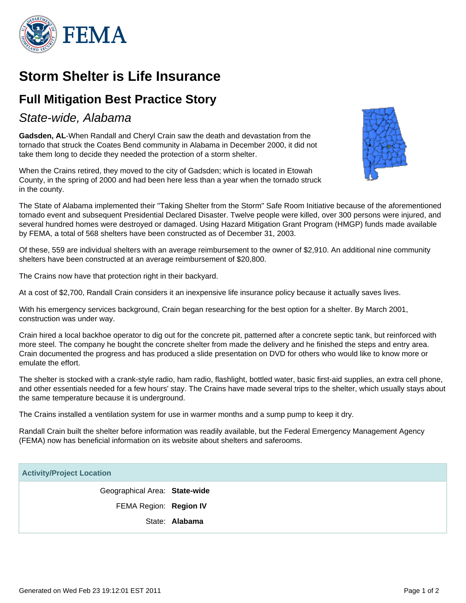

# **Storm Shelter is Life Insurance**

## **Full Mitigation Best Practice Story**

### State-wide, Alabama

**Gadsden, AL**-When Randall and Cheryl Crain saw the death and devastation from the tornado that struck the Coates Bend community in Alabama in December 2000, it did not take them long to decide they needed the protection of a storm shelter.

When the Crains retired, they moved to the city of Gadsden; which is located in Etowah County, in the spring of 2000 and had been here less than a year when the tornado struck in the county.



The State of Alabama implemented their "Taking Shelter from the Storm" Safe Room Initiative because of the aforementioned tornado event and subsequent Presidential Declared Disaster. Twelve people were killed, over 300 persons were injured, and several hundred homes were destroyed or damaged. Using Hazard Mitigation Grant Program (HMGP) funds made available by FEMA, a total of 568 shelters have been constructed as of December 31, 2003.

Of these, 559 are individual shelters with an average reimbursement to the owner of \$2,910. An additional nine community shelters have been constructed at an average reimbursement of \$20,800.

The Crains now have that protection right in their backyard.

At a cost of \$2,700, Randall Crain considers it an inexpensive life insurance policy because it actually saves lives.

With his emergency services background, Crain began researching for the best option for a shelter. By March 2001, construction was under way.

Crain hired a local backhoe operator to dig out for the concrete pit, patterned after a concrete septic tank, but reinforced with more steel. The company he bought the concrete shelter from made the delivery and he finished the steps and entry area. Crain documented the progress and has produced a slide presentation on DVD for others who would like to know more or emulate the effort.

The shelter is stocked with a crank-style radio, ham radio, flashlight, bottled water, basic first-aid supplies, an extra cell phone, and other essentials needed for a few hours' stay. The Crains have made several trips to the shelter, which usually stays about the same temperature because it is underground.

The Crains installed a ventilation system for use in warmer months and a sump pump to keep it dry.

Randall Crain built the shelter before information was readily available, but the Federal Emergency Management Agency (FEMA) now has beneficial information on its website about shelters and saferooms.

#### **Activity/Project Location**

Geographical Area: **State-wide** FEMA Region: **Region IV** State: **Alabama**